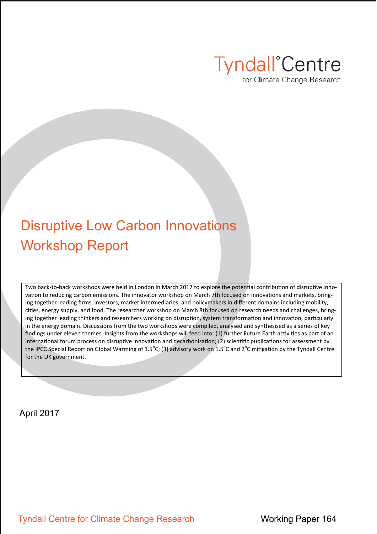## **Tyndall**°Centre for Climate Change Research

# Disruptive Low Carbon Innovations Workshop Report

Two back-to-back workshops were held in London in March 2017 to explore the potential contribution of disruptive innovation to reducing carbon emissions. The innovator workshop on March 7th focused on innovations and markets, bringing together leading firms, investors, market intermediaries, and policymakers in different domains including mobility, cities, energy supply, and food. The researcher workshop on March 8th focused on research needs and challenges, bringing together leading thinkers and researchers working on disruption, system transformation and innovation, particularly in the energy domain. Discussions from the two workshops were compiled, analysed and synthesised as a series of key findings under eleven themes. Insights from the workshops will feed into: (1) further Future Earth activities as part of an international forum process on disruptive innovation and decarbonisation; (2) scientific publications for assessment by the IPCC Special Report on Global Warming of 1.5°C; (3) advisory work on 1.5°C and 2°C mitigation by the Tyndall Centre for the UK government.

April 2017

Tyndall Centre for Climate Change Research Working Paper 164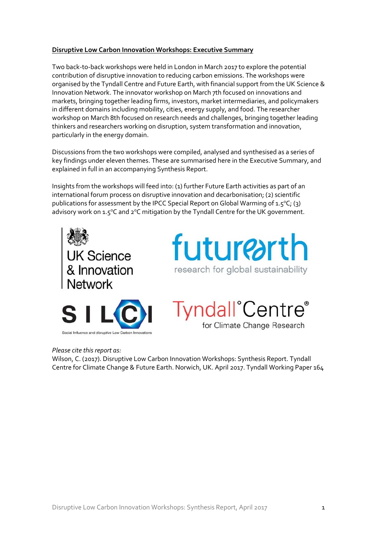## **Disruptive Low Carbon Innovation Workshops: Executive Summary**

Two back-to-back workshops were held in London in March 2017 to explore the potential contribution of disruptive innovation to reducing carbon emissions. The workshops were organised by the Tyndall Centre and Future Earth, with financial support from the UK Science & Innovation Network. The innovator workshop on March 7th focused on innovations and markets, bringing together leading firms, investors, market intermediaries, and policymakers in different domains including mobility, cities, energy supply, and food. The researcher workshop on March 8th focused on research needs and challenges, bringing together leading thinkers and researchers working on disruption, system transformation and innovation, particularly in the energy domain.

Discussions from the two workshops were compiled, analysed and synthesised as a series of key findings under eleven themes. These are summarised here in the Executive Summary, and explained in full in an accompanying Synthesis Report.

Insights from the workshops will feed into: (1) further Future Earth activities as part of an international forum process on disruptive innovation and decarbonisation; (2) scientific publications for assessment by the IPCC Special Report on Global Warming of 1.5°C; (3) advisory work on 1.5°C and 2°C mitigation by the Tyndall Centre for the UK government.



#### *Please cite this report as:*

Wilson, C. (2017). Disruptive Low Carbon Innovation Workshops: Synthesis Report. Tyndall Centre for Climate Change & Future Earth. Norwich, UK. April 2017. Tyndall Working Paper 164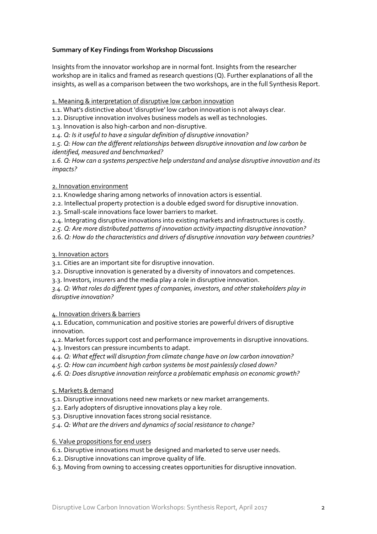## **Summary of Key Findings from Workshop Discussions**

Insights from the innovator workshop are in normal font. Insights from the researcher workshop are in italics and framed as research questions (Q). Further explanations of all the insights, as well as a comparison between the two workshops, are in the full Synthesis Report.

1. Meaning & interpretation of disruptive low carbon innovation

- 1.1. What's distinctive about 'disruptive' low carbon innovation is not always clear.
- 1.2. Disruptive innovation involves business models as well as technologies.
- 1.3. Innovation is also high-carbon and non-disruptive.
- *1.4. Q: Is it useful to have a singular definition of disruptive innovation?*

*1.5. Q: How can the different relationships between disruptive innovation and low carbon be identified, measured and benchmarked?*

*1.6. Q: How can a systems perspective help understand and analyse disruptive innovation and its impacts?*

#### 2. Innovation environment

2.1. Knowledge sharing among networks of innovation actors is essential.

- 2.2. Intellectual property protection is a double edged sword for disruptive innovation.
- 2.3. Small-scale innovations face lower barriers to market.
- 2.4. Integrating disruptive innovations into existing markets and infrastructures is costly.
- *2.5. Q: Are more distributed patterns of innovation activity impacting disruptive innovation?*

2.6. *Q: How do the characteristics and drivers of disruptive innovation vary between countries?*

#### 3. Innovation actors

3.1. Cities are an important site for disruptive innovation.

3.2. Disruptive innovation is generated by a diversity of innovators and competences.

3.3. Investors, insurers and the media play a role in disruptive innovation.

*3.4. Q: What roles do different types of companies, investors, and other stakeholders play in disruptive innovation?*

#### 4. Innovation drivers & barriers

4.1. Education, communication and positive stories are powerful drivers of disruptive innovation.

- 4.2. Market forces support cost and performance improvements in disruptive innovations.
- 4.3. Investors can pressure incumbents to adapt.
- *4.4. Q: What effect will disruption from climate change have on low carbon innovation?*
- *4.5. Q: How can incumbent high carbon systems be most painlessly closed down?*
- *4.6. Q: Does disruptive innovation reinforce a problematic emphasis on economic growth?*

#### 5. Markets & demand

- 5.1. Disruptive innovations need new markets or new market arrangements.
- 5.2. Early adopters of disruptive innovations play a key role.
- 5.3. Disruptive innovation faces strong social resistance.
- *5.4. Q: What are the drivers and dynamics of social resistance to change?*

#### 6. Value propositions for end users

- 6.1. Disruptive innovations must be designed and marketed to serve user needs.
- 6.2. Disruptive innovations can improve quality of life.
- 6.3. Moving from owning to accessing creates opportunities for disruptive innovation.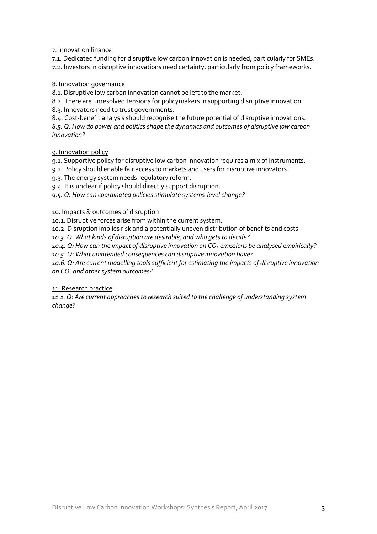7. Innovation finance

7.1. Dedicated funding for disruptive low carbon innovation is needed, particularly for SMEs. 7.2. Investors in disruptive innovations need certainty, particularly from policy frameworks.

#### 8. Innovation governance

8.1. Disruptive low carbon innovation cannot be left to the market.

- 8.2. There are unresolved tensions for policymakers in supporting disruptive innovation.
- 8.3. Innovators need to trust governments.
- 8.4. Cost-benefit analysis should recognise the future potential of disruptive innovations.

*8.5. Q: How do power and politics shape the dynamics and outcomes of disruptive low carbon innovation?*

#### 9. Innovation policy

- 9.1. Supportive policy for disruptive low carbon innovation requires a mix of instruments.
- 9.2. Policy should enable fair access to markets and users for disruptive innovators.
- 9.3. The energy system needs regulatory reform.
- 9.4. It is unclear if policy should directly support disruption.
- *9.5. Q: How can coordinated policies stimulate systems-level change?*

#### 10. Impacts & outcomes of disruption

- 10.1. Disruptive forces arise from within the current system.
- 10.2. Disruption implies risk and a potentially uneven distribution of benefits and costs.
- *10.3. Q: What kinds of disruption are desirable, and who gets to decide?*
- 10.4. Q: How can the impact of disruptive innovation on CO<sub>2</sub> emissions be analysed empirically?
- *10.5. Q: What unintended consequences can disruptive innovation have?*
- *10.6. Q: Are current modelling tools sufficient for estimating the impacts of disruptive innovation on CO2 and other system outcomes?*

#### 11. Research practice

*11.1. Q: Are current approaches to research suited to the challenge of understanding system change?*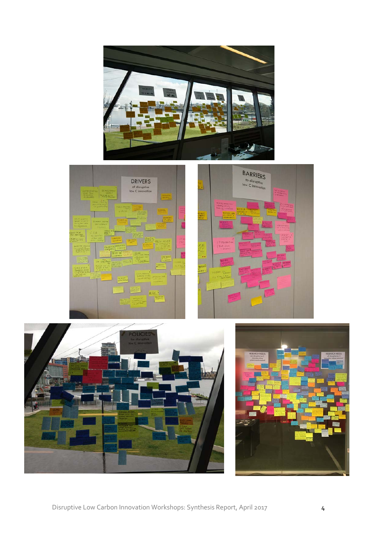







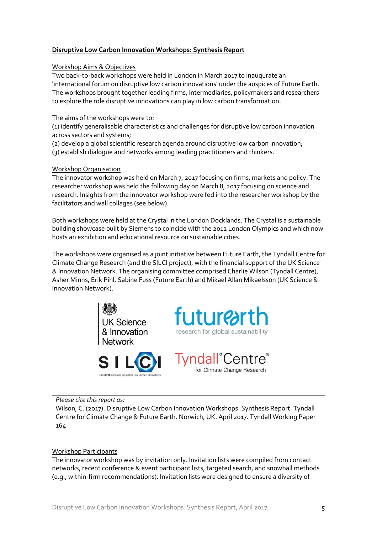## **Disruptive Low Carbon Innovation Workshops: Synthesis Report**

#### Workshop Aims & Objectives

Two back-to-back workshops were held in London in March 2017 to inaugurate an 'international forum on disruptive low carbon innovations' under the auspices of Future Earth. The workshops brought together leading firms, intermediaries, policymakers and researchers to explore the role disruptive innovations can play in low carbon transformation.

#### The aims of the workshops were to:

(1) identify generalisable characteristics and challenges for disruptive low carbon innovation across sectors and systems;

(2) develop a global scientific research agenda around disruptive low carbon innovation; (3) establish dialogue and networks among leading practitioners and thinkers.

#### Workshop Organisation

The innovator workshop was held on March 7, 2017 focusing on firms, markets and policy. The researcher workshop was held the following day on March 8, 2017 focusing on science and research. Insights from the innovator workshop were fed into the researcher workshop by the facilitators and wall collages (see below).

Both workshops were held at the Crystal in the London Docklands. The Crystal is a sustainable building showcase built by Siemens to coincide with the 2012 London Olympics and which now hosts an exhibition and educational resource on sustainable cities.

The workshops were organised as a joint initiative between Future Earth, the Tyndall Centre for Climate Change Research (and the SILCI project), with the financial support of the UK Science & Innovation Network. The organising committee comprised Charlie Wilson (Tyndall Centre), Asher Minns, Erik Pihl, Sabine Fuss (Future Earth) and Mikael Allan Mikaelsson (UK Science & Innovation Network).



#### *Please cite this report as:*

Wilson, C. (2017). Disruptive Low Carbon Innovation Workshops: Synthesis Report. Tyndall Centre for Climate Change & Future Earth. Norwich, UK. April 2017. Tyndall Working Paper 164

#### Workshop Participants

The innovator workshop was by invitation only. Invitation lists were compiled from contact networks, recent conference & event participant lists, targeted search, and snowball methods (e.g., within-firm recommendations). Invitation lists were designed to ensure a diversity of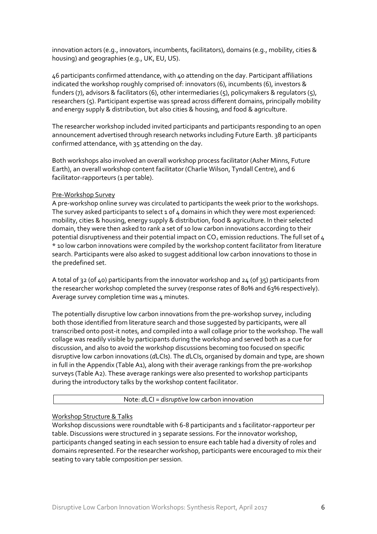innovation actors (e.g., innovators, incumbents, facilitators), domains (e.g., mobility, cities & housing) and geographies (e.g., UK, EU, US).

46 participants confirmed attendance, with 40 attending on the day. Participant affiliations indicated the workshop roughly comprised of: innovators (6), incumbents (6), investors & funders (7), advisors & facilitators (6), other intermediaries (5), policymakers & regulators (5), researchers (5). Participant expertise was spread across different domains, principally mobility and energy supply & distribution, but also cities & housing, and food & agriculture.

The researcher workshop included invited participants and participants responding to an open announcement advertised through research networks including Future Earth. 38 participants confirmed attendance, with 35 attending on the day.

Both workshops also involved an overall workshop process facilitator (Asher Minns, Future Earth), an overall workshop content facilitator (Charlie Wilson, Tyndall Centre), and 6 facilitator-rapporteurs (1 per table).

#### Pre-Workshop Survey

A pre-workshop online survey was circulated to participants the week prior to the workshops. The survey asked participants to select 1 of 4 domains in which they were most experienced: mobility, cities & housing, energy supply & distribution, food & agriculture. In their selected domain, they were then asked to rank a set of 10 low carbon innovations according to their potential disruptiveness and their potential impact on  $CO<sub>2</sub>$  emission reductions. The full set of  $4$ \* 10 low carbon innovations were compiled by the workshop content facilitator from literature search. Participants were also asked to suggest additional low carbon innovations to those in the predefined set.

A total of 32 (of 40) participants from the innovator workshop and 24 (of 35) participants from the researcher workshop completed the survey (response rates of 80% and 63% respectively). Average survey completion time was 4 minutes.

The potentially disruptive low carbon innovations from the pre-workshop survey, including both those identified from literature search and those suggested by participants, were all transcribed onto post-it notes, and compiled into a wall collage prior to the workshop. The wall collage was readily visible by participants during the workshop and served both as a cue for discussion, and also to avoid the workshop discussions becoming too focused on specific disruptive low carbon innovations (*d*LCIs). The *d*LCIs, organised by domain and type, are shown in full in the Appendix (Table A1), along with their average rankings from the pre-workshop surveys (Table A2). These average rankings were also presented to workshop participants during the introductory talks by the workshop content facilitator.

#### Note: *d*LCI = *disruptive* low carbon innovation

#### Workshop Structure & Talks

Workshop discussions were roundtable with 6-8 participants and 1 facilitator-rapporteur per table. Discussions were structured in 3 separate sessions. For the innovator workshop, participants changed seating in each session to ensure each table had a diversity of roles and domains represented. For the researcher workshop, participants were encouraged to mix their seating to vary table composition per session.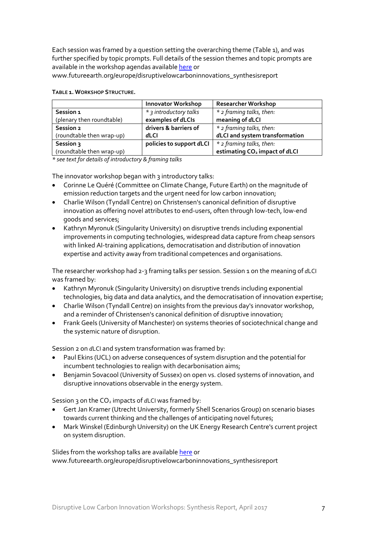Each session was framed by a question setting the overarching theme [\(Table 1\)](#page-7-0), and was further specified by topic prompts. Full details of the session themes and topic prompts are available in the workshop agendas availabl[e here](http://www.futureearth.org/europe/disruptivelowcarboninnovations_synthesisreport) or

www.futureearth.org/europe/disruptivelowcarboninnovations\_synthesisreport

<span id="page-7-0"></span>

|                           | <b>Innovator Workshop</b> | <b>Researcher Workshop</b>                |
|---------------------------|---------------------------|-------------------------------------------|
| Session 1                 | * 3 introductory talks    | * 2 framing talks, then:                  |
| (plenary then roundtable) | examples of dLCIs         | meaning of dLCI                           |
| Session 2                 | drivers & barriers of     | * 2 framing talks, then:                  |
| (roundtable then wrap-up) | dLCI                      | dLCI and system transformation            |
| Session 3                 | policies to support dLCI  | * 2 framing talks, then:                  |
| (roundtable then wrap-up) |                           | estimating CO <sub>2</sub> impact of dLCI |

*\* see text for details of introductory & framing talks*

The innovator workshop began with 3 introductory talks:

- Corinne Le Quéré (Committee on Climate Change, Future Earth) on the magnitude of emission reduction targets and the urgent need for low carbon innovation;
- Charlie Wilson (Tyndall Centre) on Christensen's canonical definition of disruptive innovation as offering novel attributes to end-users, often through low-tech, low-end goods and services;
- Kathryn Myronuk (Singularity University) on disruptive trends including exponential improvements in computing technologies, widespread data capture from cheap sensors with linked AI-training applications, democratisation and distribution of innovation expertise and activity away from traditional competences and organisations.

The researcher workshop had 2-3 framing talks per session. Session 1 on the meaning of *d*LCI was framed by:

- Kathryn Myronuk (Singularity University) on disruptive trends including exponential technologies, big data and data analytics, and the democratisation of innovation expertise;
- Charlie Wilson (Tyndall Centre) on insights from the previous day's innovator workshop, and a reminder of Christensen's canonical definition of disruptive innovation;
- Frank Geels (University of Manchester) on systems theories of sociotechnical change and the systemic nature of disruption.

Session 2 on *d*LCI and system transformation was framed by:

- Paul Ekins (UCL) on adverse consequences of system disruption and the potential for incumbent technologies to realign with decarbonisation aims;
- **•** Benjamin Sovacool (University of Sussex) on open vs. closed systems of innovation, and disruptive innovations observable in the energy system.

Session 3 on the CO<sub>2</sub> impacts of dLCI was framed by:

- Gert Jan Kramer (Utrecht University, formerly Shell Scenarios Group) on scenario biases towards current thinking and the challenges of anticipating novel futures;
- Mark Winskel (Edinburgh University) on the UK Energy Research Centre's current project on system disruption.

Slides from the workshop talks are available [here](http://www.futureearth.org/europe/disruptivelowcarboninnovations_synthesisreport) or www.futureearth.org/europe/disruptivelowcarboninnovations\_synthesisreport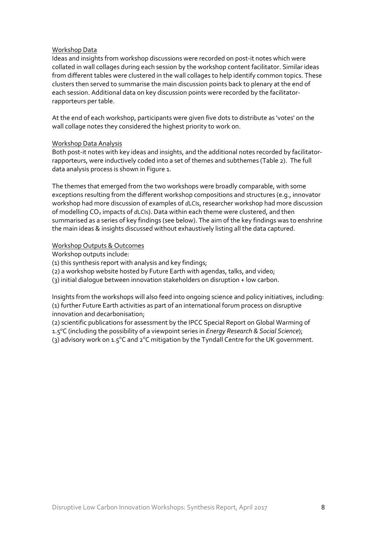#### Workshop Data

Ideas and insights from workshop discussions were recorded on post-it notes which were collated in wall collages during each session by the workshop content facilitator. Similar ideas from different tables were clustered in the wall collages to help identify common topics. These clusters then served to summarise the main discussion points back to plenary at the end of each session. Additional data on key discussion points were recorded by the facilitatorrapporteurs per table.

At the end of each workshop, participants were given five dots to distribute as 'votes' on the wall collage notes they considered the highest priority to work on.

#### Workshop Data Analysis

Both post-it notes with key ideas and insights, and the additional notes recorded by facilitatorrapporteurs, were inductively coded into a set of themes and subthemes [\(Table 2\)](#page-10-0). The full data analysis process is shown i[n Figure 1.](#page-8-0)

The themes that emerged from the two workshops were broadly comparable, with some exceptions resulting from the different workshop compositions and structures (e.g., innovator workshop had more discussion of examples of *d*LCIs, researcher workshop had more discussion of modelling CO<sub>2</sub> impacts of dLCIs). Data within each theme were clustered, and then summarised as a series of key findings (see below). The aim of the key findings was to enshrine the main ideas & insights discussed without exhaustively listing all the data captured.

#### Workshop Outputs & Outcomes

Workshop outputs include:

(1) this synthesis report with analysis and key findings;

(2) a workshop website hosted by Future Earth with agendas, talks, and video;

(3) initial dialogue between innovation stakeholders on disruption + low carbon.

Insights from the workshops will also feed into ongoing science and policy initiatives, including: (1) further Future Earth activities as part of an international forum process on disruptive innovation and decarbonisation;

<span id="page-8-0"></span>(2) scientific publications for assessment by the IPCC Special Report on Global Warming of 1.5°C (including the possibility of a viewpoint series in *Energy Research & Social Science*); (3) advisory work on 1.5°C and 2°C mitigation by the Tyndall Centre for the UK government.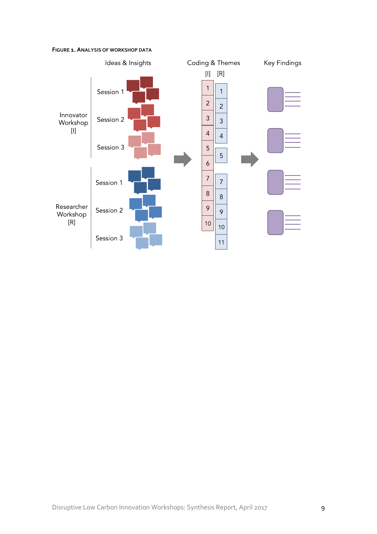#### **FIGURE 1. ANALYSIS OF WORKSHOP DATA**

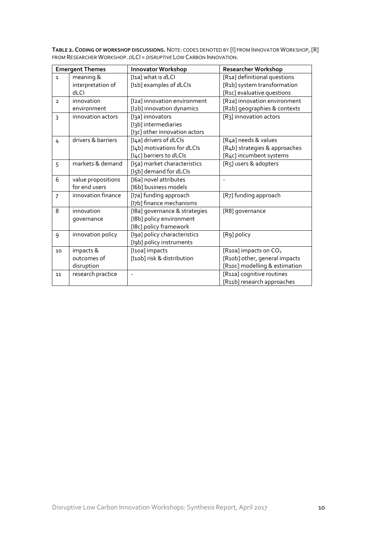<span id="page-10-0"></span>**TABLE 2. CODING OF WORKSHOP DISCUSSIONS.**NOTE: CODES DENOTED BY [I] FROM INNOVATOR WORKSHOP, [R] FROM RESEARCHER WORKSHOP. *D*LCI = *DISRUPTIVE* LOW CARBON INNOVATION.

|                | <b>Emergent Themes</b> | <b>Innovator Workshop</b>     | <b>Researcher Workshop</b>          |
|----------------|------------------------|-------------------------------|-------------------------------------|
| $\mathbf{1}$   | meaning &              | [l1a] what is dLCI            | [R1a] definitional questions        |
|                | interpretation of      | [I1b] examples of dLCIs       | [R1b] system transformation         |
|                | dLCl                   |                               | [R1c] evaluative questions          |
| $\overline{2}$ | innovation             | [I2a] innovation environment  | [R2a] innovation environment        |
|                | environment            | [I2b] innovation dynamics     | [R2b] geographies & contexts        |
| $\overline{3}$ | innovation actors      | [l3a] innovators              | [R <sub>3</sub> ] innovation actors |
|                |                        | [l3b] intermediaries          |                                     |
|                |                        | [I3c] other innovation actors |                                     |
| 4              | drivers & barriers     | [I4a] drivers of dLCIs        | [R4a] needs & values                |
|                |                        | [I4b] motivations for dLCIs   | [R4b] strategies & approaches       |
|                |                        | [I4c] barriers to dLCIs       | [R4c] incumbent systems             |
| 5              | markets & demand       | [I5a] market characteristics  | [R5] users & adopters               |
|                |                        | [I5b] demand for dLCIs        |                                     |
| 6              | value propositions     | [I6a] novel attributes        |                                     |
|                | for end users          | [I6b] business models         |                                     |
| $\overline{7}$ | innovation finance     | [I7a] funding approach        | [R7] funding approach               |
|                |                        | [I7b] finance mechanisms      |                                     |
| 8              | innovation             | [I8a] governance & strategies | [R8] governance                     |
|                | governance             | [I8b] policy environment      |                                     |
|                |                        | [I8c] policy framework        |                                     |
| 9              | innovation policy      | [Iga] policy characteristics  | [R9] policy                         |
|                |                        | [l9b] policy instruments      |                                     |
| 10             | impacts &              | [l10a] impacts                | [R10a] impacts on CO <sub>2</sub>   |
|                | outcomes of            | [I1ob] risk & distribution    | [R1ob] other, general impacts       |
|                | disruption             |                               | [R10c] modelling & estimation       |
| 11             | research practice      |                               | [R11a] cognitive routines           |
|                |                        |                               | [R11b] research approaches          |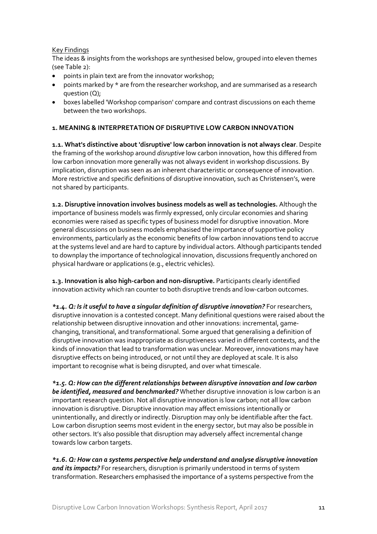## Key Findings

The ideas & insights from the workshops are synthesised below, grouped into eleven themes (se[e Table 2\)](#page-10-0):

- points in plain text are from the innovator workshop;
- points marked by \* are from the researcher workshop, and are summarised as a research question (Q);
- boxes labelled 'Workshop comparison' compare and contrast discussions on each theme between the two workshops.

## **1. MEANING & INTERPRETATION OF DISRUPTIVE LOW CARBON INNOVATION**

**1.1. What's distinctive about 'disruptive' low carbon innovation is not always clear**. Despite the framing of the workshop around *disruptive* low carbon innovation, how this differed from low carbon innovation more generally was not always evident in workshop discussions. By implication, disruption was seen as an inherent characteristic or consequence of innovation. More restrictive and specific definitions of disruptive innovation, such as Christensen's, were not shared by participants.

**1.2. Disruptive innovation involves business models as well as technologies.** Although the importance of business models was firmly expressed, only circular economies and sharing economies were raised as specific types of business model for disruptive innovation. More general discussions on business models emphasised the importance of supportive policy environments, particularly as the economic benefits of low carbon innovations tend to accrue at the systems level and are hard to capture by individual actors. Although participants tended to downplay the importance of technological innovation, discussions frequently anchored on physical hardware or applications (e.g., electric vehicles).

**1.3. Innovation is also high-carbon and non-disruptive.** Participants clearly identified innovation activity which ran counter to both disruptive trends and low-carbon outcomes.

*\*1.4. Q: Is it useful to have a singular definition of disruptive innovation?* For researchers, disruptive innovation is a contested concept. Many definitional questions were raised about the relationship between disruptive innovation and other innovations: incremental, gamechanging, transitional, and transformational. Some argued that generalising a definition of disruptive innovation was inappropriate as disruptiveness varied in different contexts, and the kinds of innovation that lead to transformation was unclear. Moreover, innovations may have disruptive effects on being introduced, or not until they are deployed at scale. It is also important to recognise what is being disrupted, and over what timescale.

*\*1.5. Q: How can the different relationships between disruptive innovation and low carbon be identified, measured and benchmarked?* Whether disruptive innovation is low carbon is an important research question. Not all disruptive innovation is low carbon; not all low carbon innovation is disruptive. Disruptive innovation may affect emissions intentionally or unintentionally, and directly or indirectly. Disruption may only be identifiable after the fact. Low carbon disruption seems most evident in the energy sector, but may also be possible in other sectors. It's also possible that disruption may adversely affect incremental change towards low carbon targets.

*\*1.6. Q: How can a systems perspective help understand and analyse disruptive innovation and its impacts?* For researchers, disruption is primarily understood in terms of system transformation. Researchers emphasised the importance of a systems perspective from the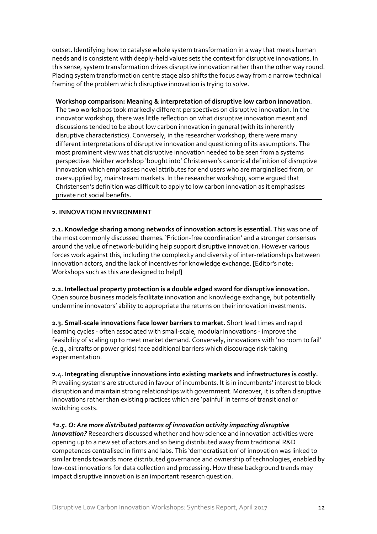outset. Identifying how to catalyse whole system transformation in a way that meets human needs and is consistent with deeply-held values sets the context for disruptive innovations. In this sense, system transformation drives disruptive innovation rather than the other way round. Placing system transformation centre stage also shifts the focus away from a narrow technical framing of the problem which disruptive innovation is trying to solve.

**Workshop comparison: Meaning & interpretation of disruptive low carbon innovation**. The two workshops took markedly different perspectives on disruptive innovation. In the innovator workshop, there was little reflection on what disruptive innovation meant and discussions tended to be about low carbon innovation in general (with its inherently disruptive characteristics). Conversely, in the researcher workshop, there were many different interpretations of disruptive innovation and questioning of its assumptions. The most prominent view was that disruptive innovation needed to be seen from a systems perspective. Neither workshop 'bought into' Christensen's canonical definition of disruptive innovation which emphasises novel attributes for end users who are marginalised from, or oversupplied by, mainstream markets. In the researcher workshop, some argued that Christensen's definition was difficult to apply to low carbon innovation as it emphasises private not social benefits.

#### **2. INNOVATION ENVIRONMENT**

**2.1. Knowledge sharing among networks of innovation actors is essential.** This was one of the most commonly discussed themes. 'Friction-free coordination' and a stronger consensus around the value of network-building help support disruptive innovation. However various forces work against this, including the complexity and diversity of inter-relationships between innovation actors, and the lack of incentives for knowledge exchange. [Editor's note: Workshops such as this are designed to help!]

**2.2. Intellectual property protection is a double edged sword for disruptive innovation.** Open source business models facilitate innovation and knowledge exchange, but potentially undermine innovators' ability to appropriate the returns on their innovation investments.

**2.3. Small-scale innovations face lower barriers to market.** Short lead times and rapid learning cycles - often associated with small-scale, modular innovations - improve the feasibility of scaling up to meet market demand. Conversely, innovations with 'no room to fail' (e.g., aircrafts or power grids) face additional barriers which discourage risk-taking experimentation.

**2.4. Integrating disruptive innovations into existing markets and infrastructures is costly.** Prevailing systems are structured in favour of incumbents. It is in incumbents' interest to block disruption and maintain strong relationships with government. Moreover, it is often disruptive innovations rather than existing practices which are 'painful' in terms of transitional or switching costs.

*\*2.5. Q: Are more distributed patterns of innovation activity impacting disruptive innovation?* Researchers discussed whether and how science and innovation activities were opening up to a new set of actors and so being distributed away from traditional R&D competences centralised in firms and labs. This 'democratisation' of innovation was linked to similar trends towards more distributed governance and ownership of technologies, enabled by low-cost innovations for data collection and processing. How these background trends may impact disruptive innovation is an important research question.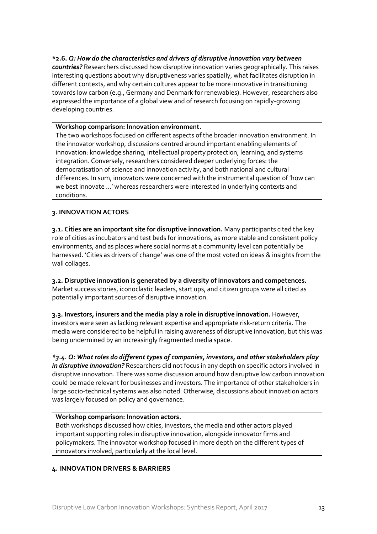#### **\*2.6.** *Q: How do the characteristics and drivers of disruptive innovation vary between*

*countries?* Researchers discussed how disruptive innovation varies geographically. This raises interesting questions about why disruptiveness varies spatially, what facilitates disruption in different contexts, and why certain cultures appear to be more innovative in transitioning towards low carbon (e.g., Germany and Denmark for renewables). However, researchers also expressed the importance of a global view and of research focusing on rapidly-growing developing countries.

#### **Workshop comparison: Innovation environment.**

The two workshops focused on different aspects of the broader innovation environment. In the innovator workshop, discussions centred around important enabling elements of innovation: knowledge sharing, intellectual property protection, learning, and systems integration. Conversely, researchers considered deeper underlying forces: the democratisation of science and innovation activity, and both national and cultural differences. In sum, innovators were concerned with the instrumental question of 'how can we best innovate ...' whereas researchers were interested in underlying contexts and conditions.

#### **3. INNOVATION ACTORS**

**3.1. Cities are an important site for disruptive innovation.** Many participants cited the key role of cities as incubators and test beds for innovations, as more stable and consistent policy environments, and as places where social norms at a community level can potentially be harnessed. 'Cities as drivers of change' was one of the most voted on ideas & insights from the wall collages.

**3.2. Disruptive innovation is generated by a diversity of innovators and competences.** Market success stories, iconoclastic leaders, start ups, and citizen groups were all cited as potentially important sources of disruptive innovation.

**3.3. Investors, insurers and the media play a role in disruptive innovation.** However, investors were seen as lacking relevant expertise and appropriate risk-return criteria. The media were considered to be helpful in raising awareness of disruptive innovation, but this was being undermined by an increasingly fragmented media space.

*\*3.4. Q: What roles do different types of companies, investors, and other stakeholders play in disruptive innovation?* Researchers did not focus in any depth on specific actors involved in disruptive innovation. There was some discussion around how disruptive low carbon innovation could be made relevant for businesses and investors. The importance of other stakeholders in large socio-technical systems was also noted. Otherwise, discussions about innovation actors was largely focused on policy and governance.

#### **Workshop comparison: Innovation actors.**

Both workshops discussed how cities, investors, the media and other actors played important supporting roles in disruptive innovation, alongside innovator firms and policymakers. The innovator workshop focused in more depth on the different types of innovators involved, particularly at the local level.

#### **4. INNOVATION DRIVERS & BARRIERS**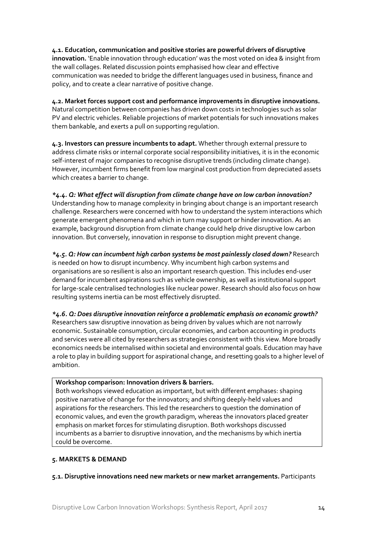## **4.1. Education, communication and positive stories are powerful drivers of disruptive**

**innovation.** 'Enable innovation through education' was the most voted on idea & insight from the wall collages. Related discussion points emphasised how clear and effective communication was needed to bridge the different languages used in business, finance and policy, and to create a clear narrative of positive change.

**4.2. Market forces support cost and performance improvements in disruptive innovations.** Natural competition between companies has driven down costs in technologies such as solar PV and electric vehicles. Reliable projections of market potentials for such innovations makes them bankable, and exerts a pull on supporting regulation.

**4.3. Investors can pressure incumbents to adapt.** Whether through external pressure to address climate risks or internal corporate social responsibility initiatives, it is in the economic self-interest of major companies to recognise disruptive trends (including climate change). However, incumbent firms benefit from low marginal cost production from depreciated assets which creates a barrier to change.

## *\*4.4. Q: What effect will disruption from climate change have on low carbon innovation?*

Understanding how to manage complexity in bringing about change is an important research challenge. Researchers were concerned with how to understand the system interactions which generate emergent phenomena and which in turn may support or hinder innovation. As an example, background disruption from climate change could help drive disruptive low carbon innovation. But conversely, innovation in response to disruption might prevent change.

## *\*4.5. Q: How can incumbent high carbon systems be most painlessly closed down?* Research

is needed on how to disrupt incumbency. Why incumbent high carbon systems and organisations are so resilient is also an important research question. This includes end-user demand for incumbent aspirations such as vehicle ownership, as well as institutional support for large-scale centralised technologies like nuclear power. Research should also focus on how resulting systems inertia can be most effectively disrupted.

#### *\*4.6. Q: Does disruptive innovation reinforce a problematic emphasis on economic growth?* Researchers saw disruptive innovation as being driven by values which are not narrowly economic. Sustainable consumption, circular economies, and carbon accounting in products and services were all cited by researchers as strategies consistent with this view. More broadly economics needs be internalised within societal and environmental goals. Education may have a role to play in building support for aspirational change, and resetting goals to a higher level of ambition.

#### **Workshop comparison: Innovation drivers & barriers.**

Both workshops viewed education as important, but with different emphases: shaping positive narrative of change for the innovators; and shifting deeply-held values and aspirations for the researchers. This led the researchers to question the domination of economic values, and even the growth paradigm, whereas the innovators placed greater emphasis on market forces for stimulating disruption. Both workshops discussed incumbents as a barrier to disruptive innovation, and the mechanisms by which inertia could be overcome.

#### **5. MARKETS & DEMAND**

#### **5.1. Disruptive innovations need new markets or new market arrangements.** Participants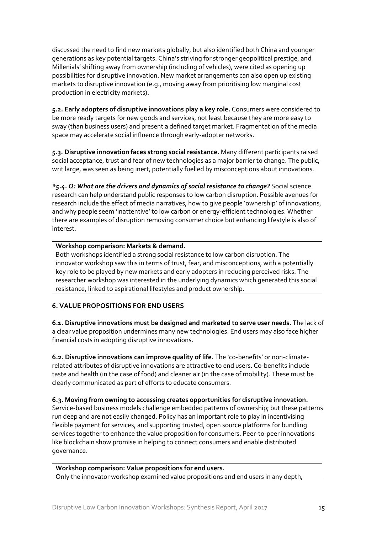discussed the need to find new markets globally, but also identified both China and younger generations as key potential targets. China's striving for stronger geopolitical prestige, and Millenials' shifting away from ownership (including of vehicles), were cited as opening up possibilities for disruptive innovation. New market arrangements can also open up existing markets to disruptive innovation (e.g., moving away from prioritising low marginal cost production in electricity markets).

**5.2. Early adopters of disruptive innovations play a key role.** Consumers were considered to be more ready targets for new goods and services, not least because they are more easy to sway (than business users) and present a defined target market. Fragmentation of the media space may accelerate social influence through early-adopter networks.

**5.3. Disruptive innovation faces strong social resistance.** Many different participants raised social acceptance, trust and fear of new technologies as a major barrier to change. The public, writ large, was seen as being inert, potentially fuelled by misconceptions about innovations.

*\*5.4. Q: What are the drivers and dynamics of social resistance to change?* Social science research can help understand public responses to low carbon disruption. Possible avenues for research include the effect of media narratives, how to give people 'ownership' of innovations, and why people seem 'inattentive' to low carbon or energy-efficient technologies. Whether there are examples of disruption removing consumer choice but enhancing lifestyle is also of interest.

#### **Workshop comparison: Markets & demand.**

Both workshops identified a strong social resistance to low carbon disruption. The innovator workshop saw this in terms of trust, fear, and misconceptions, with a potentially key role to be played by new markets and early adopters in reducing perceived risks. The researcher workshop was interested in the underlying dynamics which generated this social resistance, linked to aspirational lifestyles and product ownership.

#### **6. VALUE PROPOSITIONS FOR END USERS**

**6.1. Disruptive innovations must be designed and marketed to serve user needs.** The lack of a clear value proposition undermines many new technologies. End users may also face higher financial costs in adopting disruptive innovations.

**6.2. Disruptive innovations can improve quality of life.** The 'co-benefits' or non-climaterelated attributes of disruptive innovations are attractive to end users. Co-benefits include taste and health (in the case of food) and cleaner air (in the case of mobility). These must be clearly communicated as part of efforts to educate consumers.

**6.3. Moving from owning to accessing creates opportunities for disruptive innovation.** Service-based business models challenge embedded patterns of ownership; but these patterns run deep and are not easily changed. Policy has an important role to play in incentivising flexible payment for services, and supporting trusted, open source platforms for bundling services together to enhance the value proposition for consumers. Peer-to-peer innovations like blockchain show promise in helping to connect consumers and enable distributed governance.

**Workshop comparison: Value propositions for end users.** Only the innovator workshop examined value propositions and end users in any depth,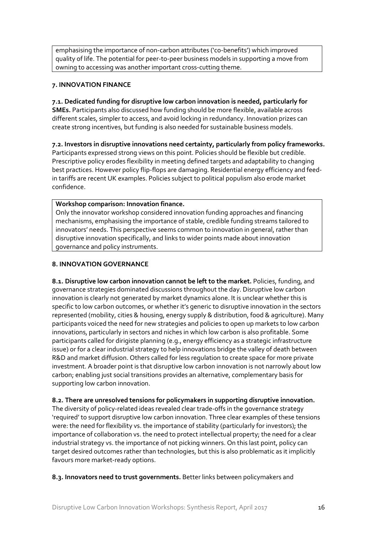emphasising the importance of non-carbon attributes ('co-benefits') which improved quality of life. The potential for peer-to-peer business models in supporting a move from owning to accessing was another important cross-cutting theme.

#### **7. INNOVATION FINANCE**

**7.1. Dedicated funding for disruptive low carbon innovation is needed, particularly for SMEs.** Participants also discussed how funding should be more flexible, available across different scales, simpler to access, and avoid locking in redundancy. Innovation prizes can create strong incentives, but funding is also needed for sustainable business models.

**7.2. Investors in disruptive innovations need certainty, particularly from policy frameworks.** Participants expressed strong views on this point. Policies should be flexible but credible. Prescriptive policy erodes flexibility in meeting defined targets and adaptability to changing best practices. However policy flip-flops are damaging. Residential energy efficiency and feedin tariffs are recent UK examples. Policies subject to political populism also erode market confidence.

**Workshop comparison: Innovation finance.**

Only the innovator workshop considered innovation funding approaches and financing mechanisms, emphasising the importance of stable, credible funding streams tailored to innovators' needs. This perspective seems common to innovation in general, rather than disruptive innovation specifically, and links to wider points made about innovation governance and policy instruments.

## **8. INNOVATION GOVERNANCE**

**8.1. Disruptive low carbon innovation cannot be left to the market.** Policies, funding, and governance strategies dominated discussions throughout the day. Disruptive low carbon innovation is clearly not generated by market dynamics alone. It is unclear whether this is specific to low carbon outcomes, or whether it's generic to disruptive innovation in the sectors represented (mobility, cities & housing, energy supply & distribution, food & agriculture). Many participants voiced the need for new strategies and policies to open up markets to low carbon innovations, particularly in sectors and niches in which low carbon is also profitable. Some participants called for dirigiste planning (e.g., energy efficiency as a strategic infrastructure issue) or for a clear industrial strategy to help innovations bridge the valley of death between R&D and market diffusion. Others called for less regulation to create space for more private investment. A broader point is that disruptive low carbon innovation is not narrowly about low carbon; enabling just social transitions provides an alternative, complementary basis for supporting low carbon innovation.

**8.2. There are unresolved tensions for policymakers in supporting disruptive innovation.** The diversity of policy-related ideas revealed clear trade-offs in the governance strategy 'required' to support disruptive low carbon innovation. Three clear examples of these tensions were: the need for flexibility vs. the importance of stability (particularly for investors); the importance of collaboration vs. the need to protect intellectual property; the need for a clear industrial strategy vs. the importance of not picking winners. On this last point, policy can target desired outcomes rather than technologies, but this is also problematic as it implicitly favours more market-ready options.

**8.3. Innovators need to trust governments.** Better links between policymakers and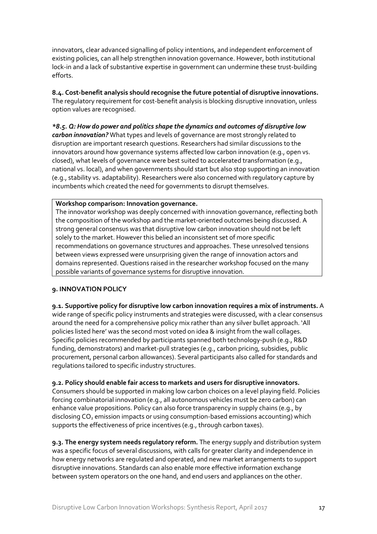innovators, clear advanced signalling of policy intentions, and independent enforcement of existing policies, can all help strengthen innovation governance. However, both institutional lock-in and a lack of substantive expertise in government can undermine these trust-building efforts.

**8.4. Cost-benefit analysis should recognise the future potential of disruptive innovations.** The regulatory requirement for cost-benefit analysis is blocking disruptive innovation, unless option values are recognised.

*\*8.5. Q: How do power and politics shape the dynamics and outcomes of disruptive low carbon innovation?* What types and levels of governance are most strongly related to disruption are important research questions. Researchers had similar discussions to the innovators around how governance systems affected low carbon innovation (e.g., open vs. closed), what levels of governance were best suited to accelerated transformation (e.g., national vs. local), and when governments should start but also stop supporting an innovation (e.g., stability vs. adaptability). Researchers were also concerned with regulatory capture by incumbents which created the need for governments to disrupt themselves.

#### **Workshop comparison: Innovation governance.**

The innovator workshop was deeply concerned with innovation governance, reflecting both the composition of the workshop and the market-oriented outcomes being discussed. A strong general consensus was that disruptive low carbon innovation should not be left solely to the market. However this belied an inconsistent set of more specific recommendations on governance structures and approaches. These unresolved tensions between views expressed were unsurprising given the range of innovation actors and domains represented. Questions raised in the researcher workshop focused on the many possible variants of governance systems for disruptive innovation.

#### **9. INNOVATION POLICY**

#### **9.1. Supportive policy for disruptive low carbon innovation requires a mix of instruments.** A

wide range of specific policy instruments and strategies were discussed, with a clear consensus around the need for a comprehensive policy mix rather than any silver bullet approach. 'All policies listed here' was the second most voted on idea & insight from the wall collages. Specific policies recommended by participants spanned both technology-push (e.g., R&D funding, demonstrators) and market-pull strategies (e.g., carbon pricing, subsidies, public procurement, personal carbon allowances). Several participants also called for standards and regulations tailored to specific industry structures.

#### **9.2. Policy should enable fair access to markets and users for disruptive innovators.**

Consumers should be supported in making low carbon choices on a level playing field. Policies forcing combinatorial innovation (e.g., all autonomous vehicles must be zero carbon) can enhance value propositions. Policy can also force transparency in supply chains (e.g., by disclosing  $CO<sub>2</sub>$  emission impacts or using consumption-based emissions accounting) which supports the effectiveness of price incentives (e.g., through carbon taxes).

**9.3. The energy system needs regulatory reform.** The energy supply and distribution system was a specific focus of several discussions, with calls for greater clarity and independence in how energy networks are regulated and operated, and new market arrangements to support disruptive innovations. Standards can also enable more effective information exchange between system operators on the one hand, and end users and appliances on the other.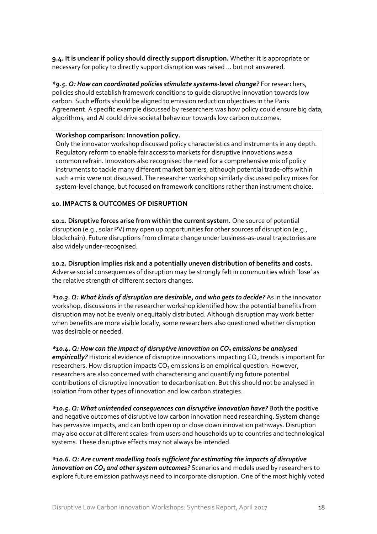**9.4. It is unclear if policy should directly support disruption.** Whether it is appropriate or necessary for policy to directly support disruption was raised ... but not answered.

*\*9.5. Q: How can coordinated policies stimulate systems-level change?* For researchers, policies should establish framework conditions to guide disruptive innovation towards low carbon. Such efforts should be aligned to emission reduction objectives in the Paris Agreement. A specific example discussed by researchers was how policy could ensure big data, algorithms, and AI could drive societal behaviour towards low carbon outcomes.

#### **Workshop comparison: Innovation policy.**

Only the innovator workshop discussed policy characteristics and instruments in any depth. Regulatory reform to enable fair access to markets for disruptive innovations was a common refrain. Innovators also recognised the need for a comprehensive mix of policy instruments to tackle many different market barriers, although potential trade-offs within such a mix were not discussed. The researcher workshop similarly discussed policy mixes for system-level change, but focused on framework conditions rather than instrument choice.

#### **10. IMPACTS & OUTCOMES OF DISRUPTION**

**10.1. Disruptive forces arise from within the current system.** One source of potential disruption (e.g., solar PV) may open up opportunities for other sources of disruption (e.g., blockchain). Future disruptions from climate change under business-as-usual trajectories are also widely under-recognised.

**10.2. Disruption implies risk and a potentially uneven distribution of benefits and costs.** Adverse social consequences of disruption may be strongly felt in communities which 'lose' as the relative strength of different sectors changes.

*\*10.3. Q: What kinds of disruption are desirable, and who gets to decide?* As in the innovator workshop, discussions in the researcher workshop identified how the potential benefits from disruption may not be evenly or equitably distributed. Although disruption may work better when benefits are more visible locally, some researchers also questioned whether disruption was desirable or needed.

*\*10.4. Q: How can the impact of disruptive innovation on CO2 emissions be analysed empirically?* Historical evidence of disruptive innovations impacting CO<sub>2</sub> trends is important for researchers. How disruption impacts  $CO<sub>2</sub>$  emissions is an empirical question. However, researchers are also concerned with characterising and quantifying future potential contributions of disruptive innovation to decarbonisation. But this should not be analysed in isolation from other types of innovation and low carbon strategies.

*\*10.5. Q: What unintended consequences can disruptive innovation have?* Both the positive and negative outcomes of disruptive low carbon innovation need researching. System change has pervasive impacts, and can both open up or close down innovation pathways. Disruption may also occur at different scales: from users and households up to countries and technological systems. These disruptive effects may not always be intended.

*\*10.6. Q: Are current modelling tools sufficient for estimating the impacts of disruptive innovation on CO<sub>2</sub> and other system outcomes?* Scenarios and models used by researchers to explore future emission pathways need to incorporate disruption. One of the most highly voted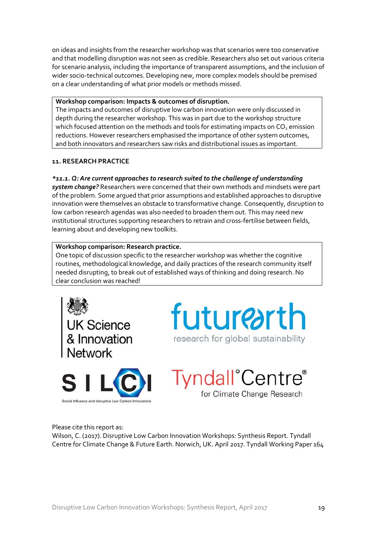on ideas and insights from the researcher workshop was that scenarios were too conservative and that modelling disruption was not seen as credible. Researchers also set out various criteria for scenario analysis, including the importance of transparent assumptions, and the inclusion of wider socio-technical outcomes. Developing new, more complex models should be premised on a clear understanding of what prior models or methods missed.

#### **Workshop comparison: Impacts & outcomes of disruption.**

The impacts and outcomes of disruptive low carbon innovation were only discussed in depth during the researcher workshop. This was in part due to the workshop structure which focused attention on the methods and tools for estimating impacts on  $CO<sub>2</sub>$  emission reductions. However researchers emphasised the importance of other system outcomes, and both innovators and researchers saw risks and distributional issues as important.

## **11. RESEARCH PRACTICE**

## *\*11.1. Q: Are current approaches to research suited to the challenge of understanding*

*system change?* Researchers were concerned that their own methods and mindsets were part of the problem. Some argued that prior assumptions and established approaches to disruptive innovation were themselves an obstacle to transformative change. Consequently, disruption to low carbon research agendas was also needed to broaden them out. This may need new institutional structures supporting researchers to retrain and cross-fertilise between fields, learning about and developing new toolkits.

## **Workshop comparison: Research practice.**

One topic of discussion specific to the researcher workshop was whether the cognitive routines, methodological knowledge, and daily practices of the research community itself needed disrupting, to break out of established ways of thinking and doing research. No clear conclusion was reached!

**UK Science<br>& Innovation** Network



futurearth

research for global sustainability

**Tyndall**<sup>°</sup>Centre<sup>®</sup> for Climate Change Research

Please cite this report as:

Wilson, C. (2017). Disruptive Low Carbon Innovation Workshops: Synthesis Report. Tyndall Centre for Climate Change & Future Earth. Norwich, UK. April 2017. Tyndall Working Paper 164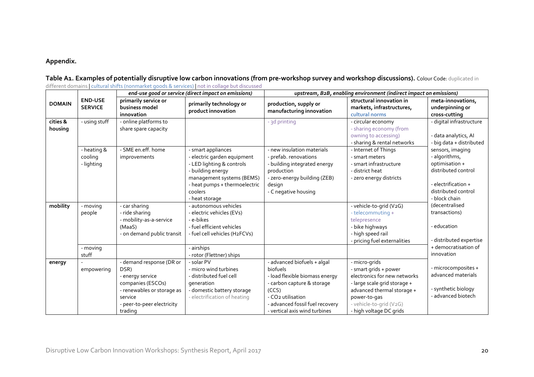## **Appendix.**

**Table A1. Examples of potentially disruptive low carbon innovations (from pre-workshop survey and workshop discussions).** Colour Code: duplicated in different domains | cultural shifts (nonmarket goods & services) | not in collage but discussed

|                     | <b>END-USE</b><br><b>SERVICE</b>     | end-use good or service (direct impact on emissions)                                                                                                        |                                                                                                                                                                                                | upstream, B2B, enabling environment (indirect impact on emissions)                                                                                                                                                    |                                                                                                                                                                                                            |                                                                                                                                           |
|---------------------|--------------------------------------|-------------------------------------------------------------------------------------------------------------------------------------------------------------|------------------------------------------------------------------------------------------------------------------------------------------------------------------------------------------------|-----------------------------------------------------------------------------------------------------------------------------------------------------------------------------------------------------------------------|------------------------------------------------------------------------------------------------------------------------------------------------------------------------------------------------------------|-------------------------------------------------------------------------------------------------------------------------------------------|
| <b>DOMAIN</b>       |                                      | primarily service or<br>business model<br>innovation                                                                                                        | primarily technology or<br>product innovation                                                                                                                                                  | production, supply or<br>manufacturing innovation                                                                                                                                                                     | structural innovation in<br>markets, infrastructures,<br>cultural norms                                                                                                                                    | meta-innovations,<br>underpinning or<br>cross-cutting                                                                                     |
| cities &<br>housing | - using stuff                        | - online platforms to<br>share spare capacity                                                                                                               |                                                                                                                                                                                                | - 3d printing                                                                                                                                                                                                         | - circular economy<br>- sharing economy (from<br>owning to accessing)<br>- sharing & rental networks                                                                                                       | - digital infrastructure<br>- data analytics, AI<br>- big data + distributed                                                              |
|                     | - heating &<br>cooling<br>- lighting | - SME en.eff. home<br>improvements                                                                                                                          | - smart appliances<br>- electric garden equipment<br>- LED lighting & controls<br>- building energy<br>management systems (BEMS)<br>- heat pumps + thermoelectric<br>coolers<br>- heat storage | - new insulation materials<br>- prefab. renovations<br>- building integrated energy<br>production<br>- zero-energy building (ZEB)<br>design<br>- C negative housing                                                   | - Internet of Things<br>- smart meters<br>- smart infrastructure<br>- district heat<br>- zero energy districts                                                                                             | sensors, imaging<br>- algorithms,<br>optimisation +<br>distributed control<br>- electrification +<br>distributed control<br>- block chain |
| mobility            | - moving<br>people                   | - car sharing<br>- ride sharing<br>- mobility-as-a-service<br>(MaaS)<br>- on demand public transit                                                          | - autonomous vehicles<br>- electric vehicles (EVs)<br>- e-bikes<br>- fuel efficient vehicles<br>- fuel cell vehicles (H2FCVs)                                                                  |                                                                                                                                                                                                                       | - vehicle-to-grid (V2G)<br>- telecommuting +<br>telepresence<br>- bike highways<br>- high speed rail<br>- pricing fuel externalities                                                                       | (decentralised<br>transactions)<br>- education<br>- distributed expertise                                                                 |
|                     | - moving<br>stuff                    |                                                                                                                                                             | - airships<br>- rotor (Flettner) ships                                                                                                                                                         |                                                                                                                                                                                                                       |                                                                                                                                                                                                            | + democratisation of<br>innovation                                                                                                        |
| energy              | empowering                           | - demand response (DR or<br>DSR)<br>- energy service<br>companies (ESCOs)<br>- renewables or storage as<br>service<br>- peer-to-peer electricity<br>trading | - solar PV<br>- micro wind turbines<br>- distributed fuel cell<br>generation<br>- domestic battery storage<br>- electrification of heating                                                     | - advanced biofuels + algal<br>biofuels<br>- load flexible biomass energy<br>- carbon capture & storage<br>(CCS)<br>- CO <sub>2</sub> utilisation<br>- advanced fossil fuel recovery<br>- vertical axis wind turbines | - micro-grids<br>- smart grids + power<br>electronics for new networks<br>- large scale grid storage +<br>advanced thermal storage +<br>power-to-gas<br>- vehicle-to-grid (V2G)<br>- high voltage DC grids | - microcomposites +<br>advanced materials<br>- synthetic biology<br>- advanced biotech                                                    |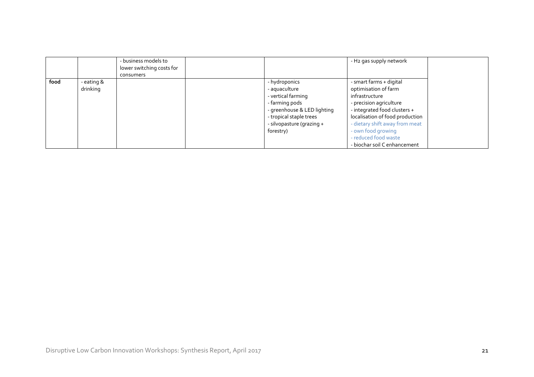|      |          | - business models to<br>lower switching costs for<br>consumers |                             | - H2 gas supply network         |
|------|----------|----------------------------------------------------------------|-----------------------------|---------------------------------|
| food | eating & |                                                                | - hydroponics               | - smart farms + digital         |
|      | drinking |                                                                | - aquaculture               | optimisation of farm            |
|      |          |                                                                | - vertical farming          | infrastructure                  |
|      |          |                                                                | - farming pods              | - precision agriculture         |
|      |          |                                                                | - greenhouse & LED lighting | - integrated food clusters +    |
|      |          |                                                                | - tropical staple trees     | localisation of food production |
|      |          |                                                                | - silvopasture (grazing +   | - dietary shift away from meat  |
|      |          |                                                                | forestry)                   | - own food growing              |
|      |          |                                                                |                             | - reduced food waste            |
|      |          |                                                                |                             | - biochar soil C enhancement    |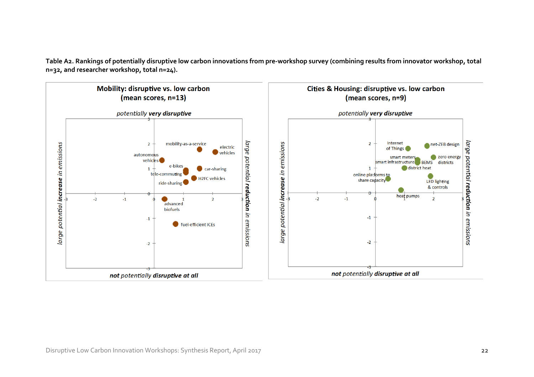**Table A2. Rankings of potentially disruptive low carbon innovations from pre-workshop survey (combining results from innovator workshop, total n=32, and researcher workshop, total n=24).**